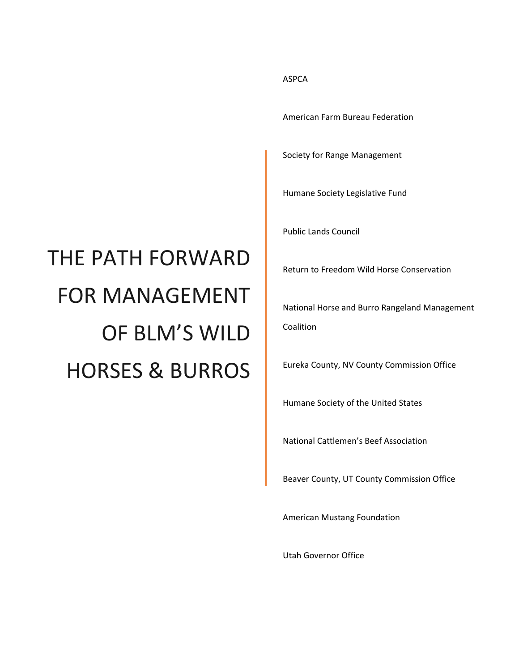# THE PATH FORWARD FOR MANAGEMENT OF BLM'S WILD HORSES & BURROS

#### ASPCA

American Farm Bureau Federation

Society for Range Management

Humane Society Legislative Fund

Public Lands Council

Return to Freedom Wild Horse Conservation

National Horse and Burro Rangeland Management Coalition

Eureka County, NV County Commission Office

Humane Society of the United States

National Cattlemen's Beef Association

Beaver County, UT County Commission Office

American Mustang Foundation

Utah Governor Office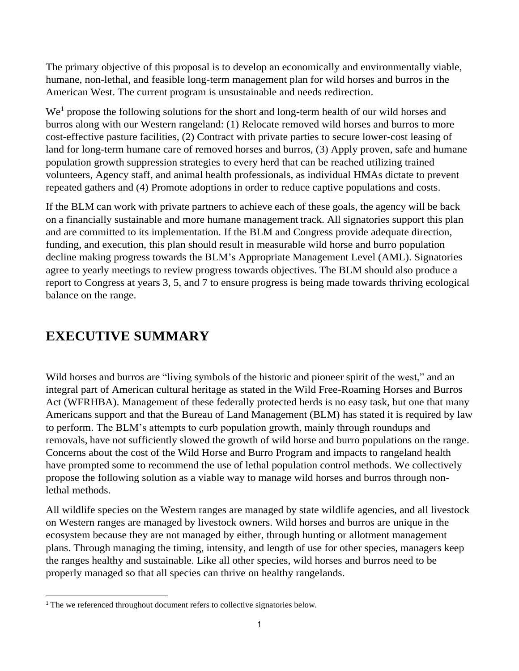The primary objective of this proposal is to develop an economically and environmentally viable, humane, non-lethal, and feasible long-term management plan for wild horses and burros in the American West. The current program is unsustainable and needs redirection.

We<sup>1</sup> propose the following solutions for the short and long-term health of our wild horses and burros along with our Western rangeland: (1) Relocate removed wild horses and burros to more cost-effective pasture facilities, (2) Contract with private parties to secure lower-cost leasing of land for long-term humane care of removed horses and burros, (3) Apply proven, safe and humane population growth suppression strategies to every herd that can be reached utilizing trained volunteers, Agency staff, and animal health professionals, as individual HMAs dictate to prevent repeated gathers and (4) Promote adoptions in order to reduce captive populations and costs.

If the BLM can work with private partners to achieve each of these goals, the agency will be back on a financially sustainable and more humane management track. All signatories support this plan and are committed to its implementation. If the BLM and Congress provide adequate direction, funding, and execution, this plan should result in measurable wild horse and burro population decline making progress towards the BLM's Appropriate Management Level (AML). Signatories agree to yearly meetings to review progress towards objectives. The BLM should also produce a report to Congress at years 3, 5, and 7 to ensure progress is being made towards thriving ecological balance on the range.

## **EXECUTIVE SUMMARY**

 $\overline{\phantom{a}}$ 

Wild horses and burros are "living symbols of the historic and pioneer spirit of the west," and an integral part of American cultural heritage as stated in the Wild Free-Roaming Horses and Burros Act (WFRHBA). Management of these federally protected herds is no easy task, but one that many Americans support and that the Bureau of Land Management (BLM) has stated it is required by law to perform. The BLM's attempts to curb population growth, mainly through roundups and removals, have not sufficiently slowed the growth of wild horse and burro populations on the range. Concerns about the cost of the Wild Horse and Burro Program and impacts to rangeland health have prompted some to recommend the use of lethal population control methods. We collectively propose the following solution as a viable way to manage wild horses and burros through nonlethal methods.

All wildlife species on the Western ranges are managed by state wildlife agencies, and all livestock on Western ranges are managed by livestock owners. Wild horses and burros are unique in the ecosystem because they are not managed by either, through hunting or allotment management plans. Through managing the timing, intensity, and length of use for other species, managers keep the ranges healthy and sustainable. Like all other species, wild horses and burros need to be properly managed so that all species can thrive on healthy rangelands.

<sup>&</sup>lt;sup>1</sup> The we referenced throughout document refers to collective signatories below.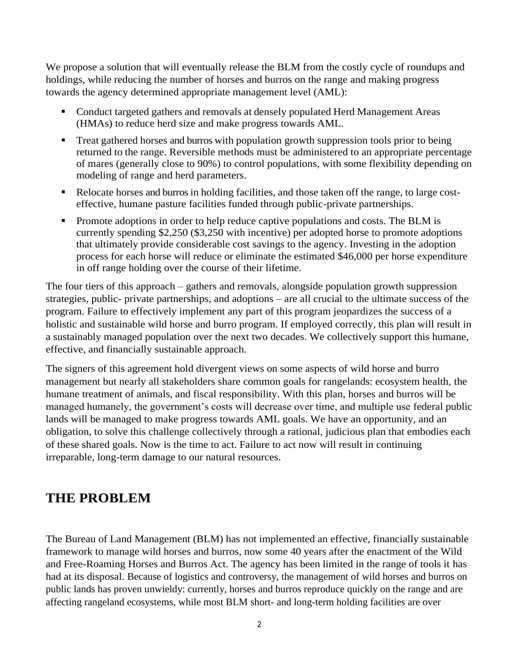We propose a solution that will eventually release the BLM from the costly cycle of roundups and holdings, while reducing the number of horses and burros on the range and making progress towards the agency determined appropriate management level (AML):

- Conduct targeted gathers and removals at densely populated Herd Management Areas (HMAs) to reduce herd size and make progress towards AML.
- **•** Treat gathered horses and burros with population growth suppression tools prior to being returned to the range. Reversible methods must be administered to an appropriate percentage of mares (generally close to 90%) to control populations, with some flexibility depending on modeling of range and herd parameters.
- Relocate horses and burros in holding facilities, and those taken off the range, to large costeffective, humane pasture facilities funded through public-private partnerships.
- Promote adoptions in order to help reduce captive populations and costs. The BLM is currently spending \$2,250 (\$3,250 with incentive) per adopted horse to promote adoptions that ultimately provide considerable cost savings to the agency. Investing in the adoption process for each horse will reduce or eliminate the estimated \$46,000 per horse expenditure in off range holding over the course of their lifetime.

The four tiers of this approach – gathers and removals, alongside population growth suppression strategies, public- private partnerships, and adoptions – are all crucial to the ultimate success of the program. Failure to effectively implement any part of this program jeopardizes the success of a holistic and sustainable wild horse and burro program. If employed correctly, this plan will result in a sustainably managed population over the next two decades. We collectively support this humane, effective, and financially sustainable approach.

The signers of this agreement hold divergent views on some aspects of wild horse and burro management but nearly all stakeholders share common goals for rangelands: ecosystem health, the humane treatment of animals, and fiscal responsibility. With this plan, horses and burros will be managed humanely, the government's costs will decrease over time, and multiple use federal public lands will be managed to make progress towards AML goals. We have an opportunity, and an obligation, to solve this challenge collectively through a rational, judicious plan that embodies each of these shared goals. Now is the time to act. Failure to act now will result in continuing irreparable, long-term damage to our natural resources.

### **THE PROBLEM**

The Bureau of Land Management (BLM) has not implemented an effective, financially sustainable framework to manage wild horses and burros, now some 40 years after the enactment of the Wild and Free-Roaming Horses and Burros Act. The agency has been limited in the range of tools it has had at its disposal. Because of logistics and controversy, the management of wild horses and burros on public lands has proven unwieldy: currently, horses and burros reproduce quickly on the range and are affecting rangeland ecosystems, while most BLM short- and long-term holding facilities are over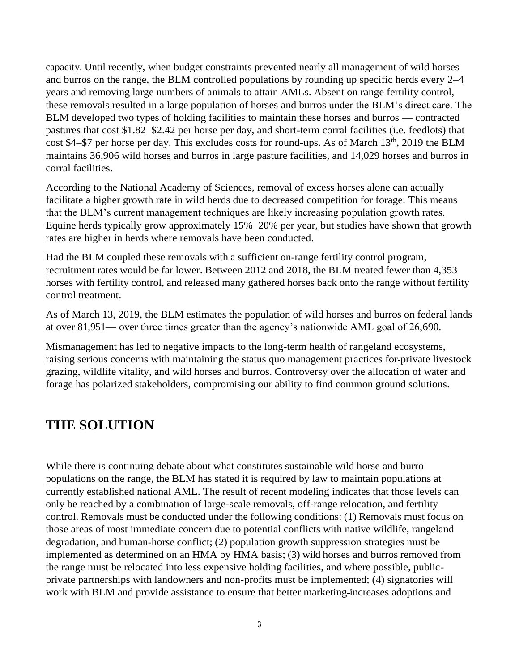capacity. Until recently, when budget constraints prevented nearly all management of wild horses and burros on the range, the BLM controlled populations by rounding up specific herds every 2–4 years and removing large numbers of animals to attain AMLs. Absent on range fertility control, these removals resulted in a large population of horses and burros under the BLM's direct care. The BLM developed two types of holding facilities to maintain these horses and burros — contracted pastures that cost \$1.82–\$2.42 per horse per day, and short-term corral facilities (i.e. feedlots) that cost \$4–\$7 per horse per day. This excludes costs for round-ups. As of March  $13<sup>th</sup>$ , 2019 the BLM maintains 36,906 wild horses and burros in large pasture facilities, and 14,029 horses and burros in corral facilities.

According to the National Academy of Sciences, removal of excess horses alone can actually facilitate a higher growth rate in wild herds due to decreased competition for forage. This means that the BLM's current management techniques are likely increasing population growth rates. Equine herds typically grow approximately 15%–20% per year, but studies have shown that growth rates are higher in herds where removals have been conducted.

Had the BLM coupled these removals with a sufficient on-range fertility control program, recruitment rates would be far lower. Between 2012 and 2018, the BLM treated fewer than 4,353 horses with fertility control, and released many gathered horses back onto the range without fertility control treatment.

As of March 13, 2019, the BLM estimates the population of wild horses and burros on federal lands at over 81,951— over three times greater than the agency's nationwide AML goal of 26,690.

Mismanagement has led to negative impacts to the long-term health of rangeland ecosystems, raising serious concerns with maintaining the status quo management practices for private livestock grazing, wildlife vitality, and wild horses and burros. Controversy over the allocation of water and forage has polarized stakeholders, compromising our ability to find common ground solutions.

## **THE SOLUTION**

While there is continuing debate about what constitutes sustainable wild horse and burro populations on the range, the BLM has stated it is required by law to maintain populations at currently established national AML. The result of recent modeling indicates that those levels can only be reached by a combination of large-scale removals, off-range relocation, and fertility control. Removals must be conducted under the following conditions: (1) Removals must focus on those areas of most immediate concern due to potential conflicts with native wildlife, rangeland degradation, and human-horse conflict; (2) population growth suppression strategies must be implemented as determined on an HMA by HMA basis; (3) wild horses and burros removed from the range must be relocated into less expensive holding facilities, and where possible, publicprivate partnerships with landowners and non-profits must be implemented; (4) signatories will work with BLM and provide assistance to ensure that better marketing increases adoptions and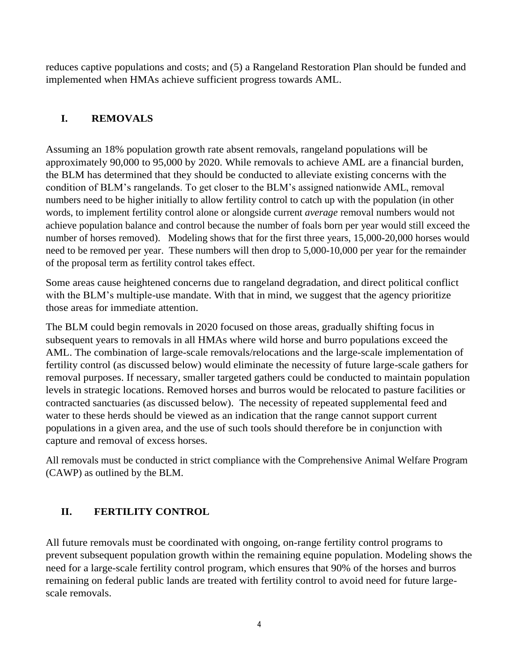reduces captive populations and costs; and (5) a Rangeland Restoration Plan should be funded and implemented when HMAs achieve sufficient progress towards AML.

#### **I. REMOVALS**

Assuming an 18% population growth rate absent removals, rangeland populations will be approximately 90,000 to 95,000 by 2020. While removals to achieve AML are a financial burden, the BLM has determined that they should be conducted to alleviate existing concerns with the condition of BLM's rangelands. To get closer to the BLM's assigned nationwide AML, removal numbers need to be higher initially to allow fertility control to catch up with the population (in other words, to implement fertility control alone or alongside current *average* removal numbers would not achieve population balance and control because the number of foals born per year would still exceed the number of horses removed). Modeling shows that for the first three years, 15,000-20,000 horses would need to be removed per year. These numbers will then drop to 5,000-10,000 per year for the remainder of the proposal term as fertility control takes effect.

Some areas cause heightened concerns due to rangeland degradation, and direct political conflict with the BLM's multiple-use mandate. With that in mind, we suggest that the agency prioritize those areas for immediate attention.

The BLM could begin removals in 2020 focused on those areas, gradually shifting focus in subsequent years to removals in all HMAs where wild horse and burro populations exceed the AML. The combination of large-scale removals/relocations and the large-scale implementation of fertility control (as discussed below) would eliminate the necessity of future large-scale gathers for removal purposes. If necessary, smaller targeted gathers could be conducted to maintain population levels in strategic locations. Removed horses and burros would be relocated to pasture facilities or contracted sanctuaries (as discussed below). The necessity of repeated supplemental feed and water to these herds should be viewed as an indication that the range cannot support current populations in a given area, and the use of such tools should therefore be in conjunction with capture and removal of excess horses.

All removals must be conducted in strict compliance with the Comprehensive Animal Welfare Program (CAWP) as outlined by the BLM.

#### **II. FERTILITY CONTROL**

All future removals must be coordinated with ongoing, on-range fertility control programs to prevent subsequent population growth within the remaining equine population. Modeling shows the need for a large-scale fertility control program, which ensures that 90% of the horses and burros remaining on federal public lands are treated with fertility control to avoid need for future largescale removals.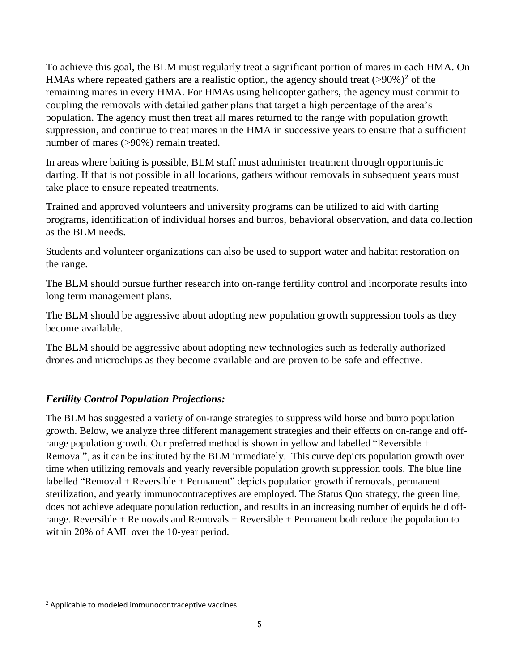To achieve this goal, the BLM must regularly treat a significant portion of mares in each HMA. On HMAs where repeated gathers are a realistic option, the agency should treat  $(>90\%)^2$  of the remaining mares in every HMA. For HMAs using helicopter gathers, the agency must commit to coupling the removals with detailed gather plans that target a high percentage of the area's population. The agency must then treat all mares returned to the range with population growth suppression, and continue to treat mares in the HMA in successive years to ensure that a sufficient number of mares (>90%) remain treated.

In areas where baiting is possible, BLM staff must administer treatment through opportunistic darting. If that is not possible in all locations, gathers without removals in subsequent years must take place to ensure repeated treatments.

Trained and approved volunteers and university programs can be utilized to aid with darting programs, identification of individual horses and burros, behavioral observation, and data collection as the BLM needs.

Students and volunteer organizations can also be used to support water and habitat restoration on the range.

The BLM should pursue further research into on-range fertility control and incorporate results into long term management plans.

The BLM should be aggressive about adopting new population growth suppression tools as they become available.

The BLM should be aggressive about adopting new technologies such as federally authorized drones and microchips as they become available and are proven to be safe and effective.

#### *Fertility Control Population Projections:*

The BLM has suggested a variety of on-range strategies to suppress wild horse and burro population growth. Below, we analyze three different management strategies and their effects on on-range and offrange population growth. Our preferred method is shown in yellow and labelled "Reversible + Removal", as it can be instituted by the BLM immediately. This curve depicts population growth over time when utilizing removals and yearly reversible population growth suppression tools. The blue line labelled "Removal + Reversible + Permanent" depicts population growth if removals, permanent sterilization, and yearly immunocontraceptives are employed. The Status Quo strategy, the green line, does not achieve adequate population reduction, and results in an increasing number of equids held offrange. Reversible + Removals and Removals + Reversible + Permanent both reduce the population to within 20% of AML over the 10-year period.

 $\overline{\phantom{a}}$ 

<sup>2</sup> Applicable to modeled immunocontraceptive vaccines.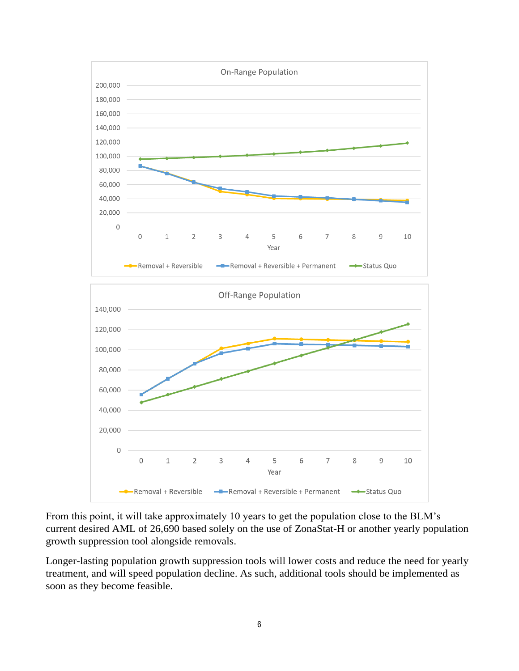

From this point, it will take approximately 10 years to get the population close to the BLM's current desired AML of 26,690 based solely on the use of ZonaStat-H or another yearly population growth suppression tool alongside removals.

Longer-lasting population growth suppression tools will lower costs and reduce the need for yearly treatment, and will speed population decline. As such, additional tools should be implemented as soon as they become feasible.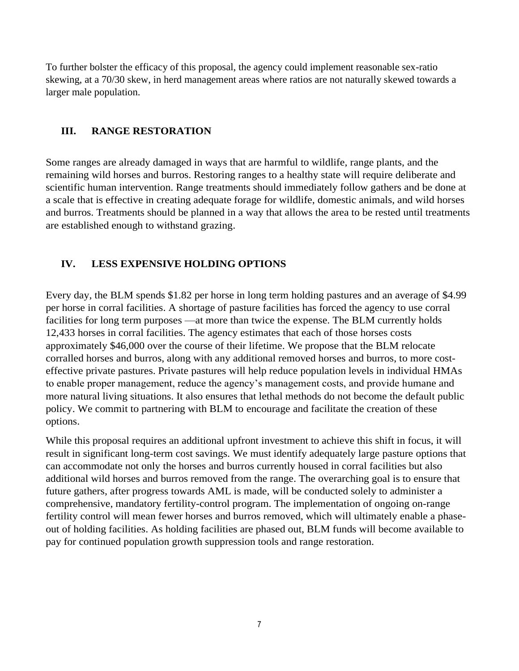To further bolster the efficacy of this proposal, the agency could implement reasonable sex-ratio skewing, at a 70/30 skew, in herd management areas where ratios are not naturally skewed towards a larger male population.

#### **III. RANGE RESTORATION**

Some ranges are already damaged in ways that are harmful to wildlife, range plants, and the remaining wild horses and burros. Restoring ranges to a healthy state will require deliberate and scientific human intervention. Range treatments should immediately follow gathers and be done at a scale that is effective in creating adequate forage for wildlife, domestic animals, and wild horses and burros. Treatments should be planned in a way that allows the area to be rested until treatments are established enough to withstand grazing.

#### **IV. LESS EXPENSIVE HOLDING OPTIONS**

Every day, the BLM spends \$1.82 per horse in long term holding pastures and an average of \$4.99 per horse in corral facilities. A shortage of pasture facilities has forced the agency to use corral facilities for long term purposes —at more than twice the expense. The BLM currently holds 12,433 horses in corral facilities. The agency estimates that each of those horses costs approximately \$46,000 over the course of their lifetime. We propose that the BLM relocate corralled horses and burros, along with any additional removed horses and burros, to more costeffective private pastures. Private pastures will help reduce population levels in individual HMAs to enable proper management, reduce the agency's management costs, and provide humane and more natural living situations. It also ensures that lethal methods do not become the default public policy. We commit to partnering with BLM to encourage and facilitate the creation of these options.

While this proposal requires an additional upfront investment to achieve this shift in focus, it will result in significant long-term cost savings. We must identify adequately large pasture options that can accommodate not only the horses and burros currently housed in corral facilities but also additional wild horses and burros removed from the range. The overarching goal is to ensure that future gathers, after progress towards AML is made, will be conducted solely to administer a comprehensive, mandatory fertility-control program. The implementation of ongoing on-range fertility control will mean fewer horses and burros removed, which will ultimately enable a phaseout of holding facilities. As holding facilities are phased out, BLM funds will become available to pay for continued population growth suppression tools and range restoration.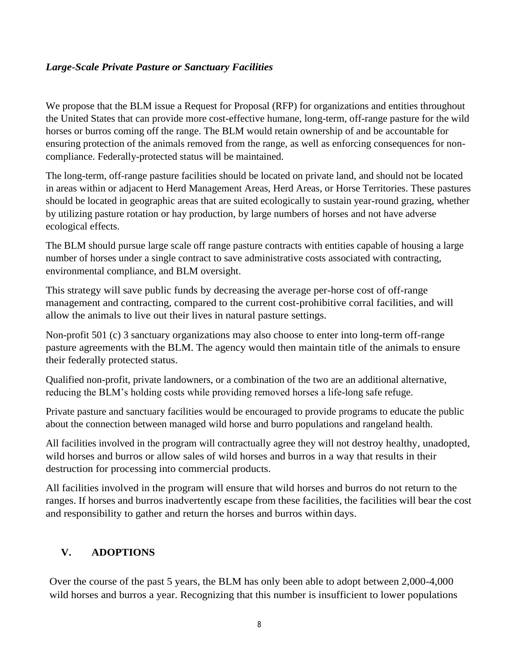#### *Large-Scale Private Pasture or Sanctuary Facilities*

We propose that the BLM issue a Request for Proposal (RFP) for organizations and entities throughout the United States that can provide more cost-effective humane, long-term, off-range pasture for the wild horses or burros coming off the range. The BLM would retain ownership of and be accountable for ensuring protection of the animals removed from the range, as well as enforcing consequences for noncompliance. Federally-protected status will be maintained.

The long-term, off-range pasture facilities should be located on private land, and should not be located in areas within or adjacent to Herd Management Areas, Herd Areas, or Horse Territories. These pastures should be located in geographic areas that are suited ecologically to sustain year-round grazing, whether by utilizing pasture rotation or hay production, by large numbers of horses and not have adverse ecological effects.

The BLM should pursue large scale off range pasture contracts with entities capable of housing a large number of horses under a single contract to save administrative costs associated with contracting, environmental compliance, and BLM oversight.

This strategy will save public funds by decreasing the average per-horse cost of off-range management and contracting, compared to the current cost-prohibitive corral facilities, and will allow the animals to live out their lives in natural pasture settings.

Non-profit 501 (c) 3 sanctuary organizations may also choose to enter into long-term off-range pasture agreements with the BLM. The agency would then maintain title of the animals to ensure their federally protected status.

Qualified non-profit, private landowners, or a combination of the two are an additional alternative, reducing the BLM's holding costs while providing removed horses a life-long safe refuge.

Private pasture and sanctuary facilities would be encouraged to provide programs to educate the public about the connection between managed wild horse and burro populations and rangeland health.

All facilities involved in the program will contractually agree they will not destroy healthy, unadopted, wild horses and burros or allow sales of wild horses and burros in a way that results in their destruction for processing into commercial products.

All facilities involved in the program will ensure that wild horses and burros do not return to the ranges. If horses and burros inadvertently escape from these facilities, the facilities will bear the cost and responsibility to gather and return the horses and burros within days.

#### **V. ADOPTIONS**

Over the course of the past 5 years, the BLM has only been able to adopt between 2,000-4,000 wild horses and burros a year. Recognizing that this number is insufficient to lower populations